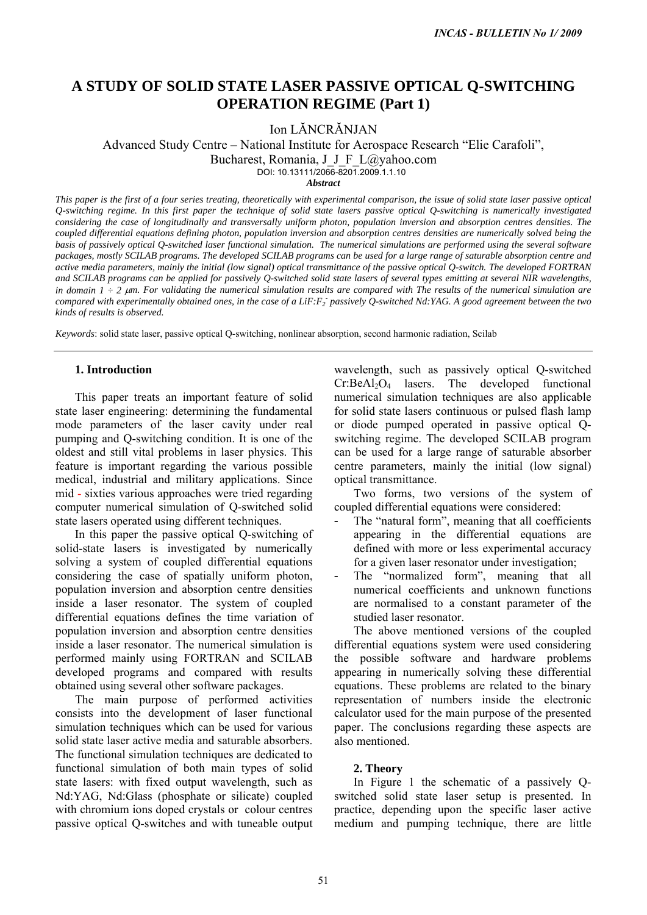# **A STUDY OF SOLID STATE LASER PASSIVE OPTICAL Q-SWITCHING OPERATION REGIME (Part 1)**

Ion LĂNCRĂNJAN

Advanced Study Centre – National Institute for Aerospace Research "Elie Carafoli",

Bucharest, Romania, J\_J\_F\_L@yahoo.com

DOI: 10.13111/2066-8201.2009.1.1.10

*Abstract*

*This paper is the first of a four series treating, theoretically with experimental comparison, the issue of solid state laser passive optical Q-switching regime. In this first paper the technique of solid state lasers passive optical Q-switching is numerically investigated considering the case of longitudinally and transversally uniform photon, population inversion and absorption centres densities. The coupled differential equations defining photon, population inversion and absorption centres densities are numerically solved being the basis of passively optical Q-switched laser functional simulation. The numerical simulations are performed using the several software packages, mostly SCILAB programs. The developed SCILAB programs can be used for a large range of saturable absorption centre and active media parameters, mainly the initial (low signal) optical transmittance of the passive optical Q-switch. The developed FORTRAN and SCILAB programs can be applied for passively Q-switched solid state lasers of several types emitting at several NIR wavelengths, in domain 1 ÷ 2* <sup>μ</sup>*m. For validating the numerical simulation results are compared with The results of the numerical simulation are* compared with experimentally obtained ones, in the case of a LiF:F<sub>2</sub> passively Q-switched Nd:YAG. A good agreement between the two *kinds of results is observed. INCAS - BULLETIN No 1/ 2009*<br> **RASSIVE OPTICAL Q-SWITCHING**<br> **REGIME (Part 1)**<br>
CRÁNIAN<br>
LE COR ANOS ARCORE REGIONE (Part 1)<br>
LE COR ANOS ARCORE RESCARCHE (Part 1)<br>
LE COR ANOS ARCORE RESCARCHE (CRATIONE),<br>
1, 1, 1– 1 ( $\$ 

*Keywords*: solid state laser, passive optical Q-switching, nonlinear absorption, second harmonic radiation, Scilab

## **1. Introduction**

This paper treats an important feature of solid state laser engineering: determining the fundamental mode parameters of the laser cavity under real pumping and Q-switching condition. It is one of the oldest and still vital problems in laser physics. This feature is important regarding the various possible medical, industrial and military applications. Since mid - sixties various approaches were tried regarding computer numerical simulation of Q-switched solid state lasers operated using different techniques.

In this paper the passive optical Q-switching of solid-state lasers is investigated by numerically solving a system of coupled differential equations considering the case of spatially uniform photon, population inversion and absorption centre densities inside a laser resonator. The system of coupled differential equations defines the time variation of population inversion and absorption centre densities inside a laser resonator. The numerical simulation is performed mainly using FORTRAN and SCILAB developed programs and compared with results obtained using several other software packages.

The main purpose of performed activities consists into the development of laser functional simulation techniques which can be used for various solid state laser active media and saturable absorbers. The functional simulation techniques are dedicated to functional simulation of both main types of solid state lasers: with fixed output wavelength, such as Nd:YAG, Nd:Glass (phosphate or silicate) coupled with chromium ions doped crystals or colour centres passive optical Q-switches and with tuneable output wavelength, such as passively optical Q-switched  $Cr:BeAl<sub>2</sub>O<sub>4</sub>$  lasers. The developed functional numerical simulation techniques are also applicable for solid state lasers continuous or pulsed flash lamp or diode pumped operated in passive optical Qswitching regime. The developed SCILAB program can be used for a large range of saturable absorber centre parameters, mainly the initial (low signal) optical transmittance.

Two forms, two versions of the system of coupled differential equations were considered:

- The "natural form", meaning that all coefficients appearing in the differential equations are defined with more or less experimental accuracy for a given laser resonator under investigation;
- The "normalized form", meaning that all numerical coefficients and unknown functions are normalised to a constant parameter of the studied laser resonator.

The above mentioned versions of the coupled differential equations system were used considering the possible software and hardware problems appearing in numerically solving these differential equations. These problems are related to the binary representation of numbers inside the electronic calculator used for the main purpose of the presented paper. The conclusions regarding these aspects are also mentioned.

#### **2. Theory**

In Figure 1 the schematic of a passively Qswitched solid state laser setup is presented. In practice, depending upon the specific laser active medium and pumping technique, there are little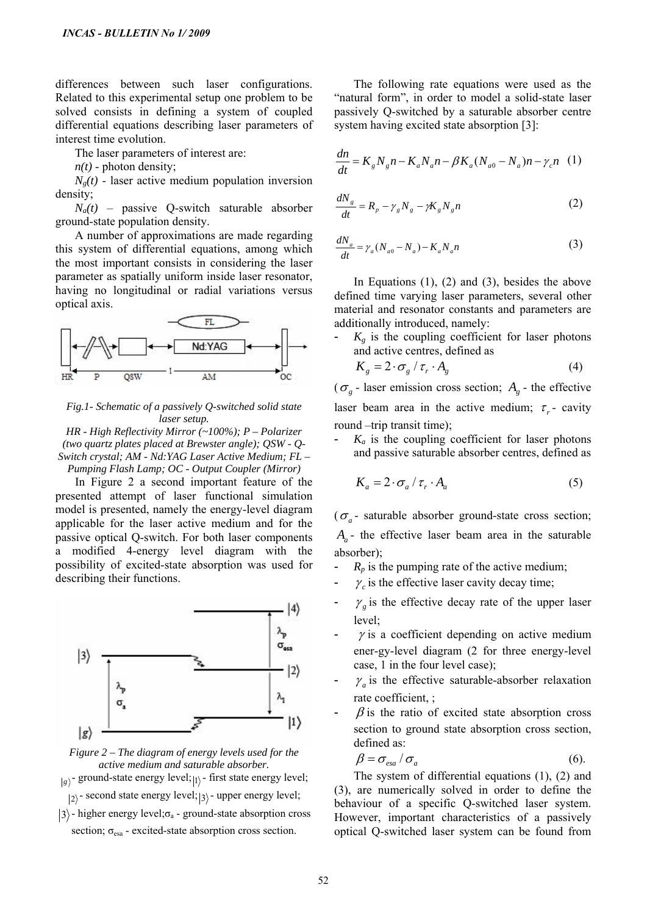differences between such laser configurations. Related to this experimental setup one problem to be solved consists in defining a system of coupled differential equations describing laser parameters of interest time evolution.

The laser parameters of interest are:

 $n(t)$  - photon density;

 $N<sub>e</sub>(t)$  - laser active medium population inversion density;

 $N_a(t)$  – passive Q-switch saturable absorber ground-state population density.

A number of approximations are made regarding this system of differential equations, among which the most important consists in considering the laser parameter as spatially uniform inside laser resonator, having no longitudinal or radial variations versus optical axis.



*Fig.1- Schematic of a passively Q-switched solid state laser setup.* 

*HR - High Reflectivity Mirror (~100%); P – Polarizer (two quartz plates placed at Brewster angle); QSW - Q-Switch crystal; AM - Nd:YAG Laser Active Medium; FL – Pumping Flash Lamp; OC - Output Coupler (Mirror)* 

In Figure 2 a second important feature of the presented attempt of laser functional simulation model is presented, namely the energy-level diagram applicable for the laser active medium and for the passive optical Q-switch. For both laser components a modified 4-energy level diagram with the possibility of excited-state absorption was used for describing their functions.





 $g_{\vert \rho}$  - ground-state energy level; 1<sup>2</sup> - first state energy level;

 $|2\rangle$  - second state energy level;  $|3\rangle$  - upper energy level;

 $|3\rangle$  - higher energy level; $\sigma_a$  - ground-state absorption cross section;  $\sigma_{\text{esa}}$  - excited-state absorption cross section.

The following rate equations were used as the "natural form", in order to model a solid-state laser passively Q-switched by a saturable absorber centre system having excited state absorption [3]:

$$
\frac{dn}{dt} = K_{g} N_{g} n - K_{a} N_{a} n - \beta K_{a} (N_{a0} - N_{a}) n - \gamma_{c} n \tag{1}
$$

$$
\frac{dN_s}{dt} = R_p - \gamma_s N_s - \gamma K_s N_s n \tag{2}
$$

$$
\frac{dN_a}{dt} = \gamma_a (N_{a0} - N_a) - K_a N_a n \tag{3}
$$

In Equations  $(1)$ ,  $(2)$  and  $(3)$ , besides the above defined time varying laser parameters, several other material and resonator constants and parameters are additionally introduced, namely:

 $K_{g}$  is the coupling coefficient for laser photons and active centres, defined as

$$
K_g = 2 \cdot \sigma_g / \tau_r \cdot A_g \tag{4}
$$

 $(\sigma_g$  - laser emission cross section;  $A_g$  - the effective laser beam area in the active medium;  $\tau_r$  - cavity round –trip transit time);

 $K_a$  is the coupling coefficient for laser photons and passive saturable absorber centres, defined as

$$
K_a = 2 \cdot \sigma_a / \tau_r \cdot A_a \tag{5}
$$

 $(\sigma_a$ - saturable absorber ground-state cross section;  $A_a$ - the effective laser beam area in the saturable absorber);

- $-R_p$  is the pumping rate of the active medium;
- $\gamma_c$  is the effective laser cavity decay time;
- $\gamma_g$  is the effective decay rate of the upper laser level;
- $\gamma$  is a coefficient depending on active medium ener-gy-level diagram (2 for three energy-level case, 1 in the four level case);
- $\gamma_a$  is the effective saturable-absorber relaxation rate coefficient, ;
- $\beta$  is the ratio of excited state absorption cross section to ground state absorption cross section, defined as:

$$
\beta = \sigma_{\text{esa}} / \sigma_a \tag{6}
$$

The system of differential equations (1), (2) and (3), are numerically solved in order to define the behaviour of a specific Q-switched laser system. However, important characteristics of a passively optical Q-switched laser system can be found from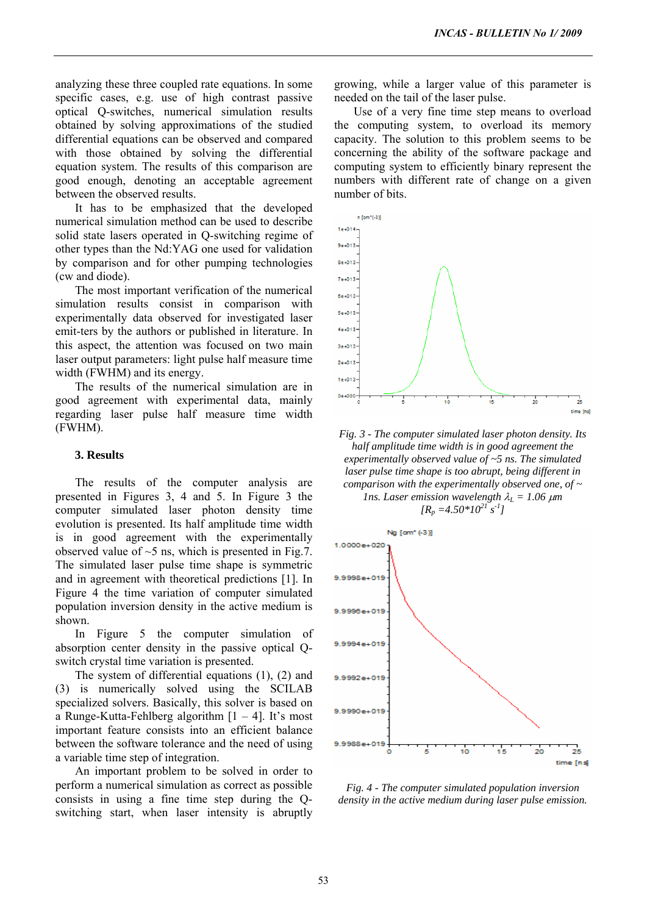analyzing these three coupled rate equations. In some specific cases, e.g. use of high contrast passive optical Q-switches, numerical simulation results obtained by solving approximations of the studied differential equations can be observed and compared with those obtained by solving the differential equation system. The results of this comparison are good enough, denoting an acceptable agreement between the observed results.

It has to be emphasized that the developed numerical simulation method can be used to describe solid state lasers operated in Q-switching regime of other types than the Nd:YAG one used for validation by comparison and for other pumping technologies (cw and diode).

The most important verification of the numerical simulation results consist in comparison with experimentally data observed for investigated laser emit-ters by the authors or published in literature. In this aspect, the attention was focused on two main laser output parameters: light pulse half measure time width (FWHM) and its energy.

The results of the numerical simulation are in good agreement with experimental data, mainly regarding laser pulse half measure time width (FWHM).

## **3. Results**

The results of the computer analysis are presented in Figures 3, 4 and 5. In Figure 3 the computer simulated laser photon density time evolution is presented. Its half amplitude time width is in good agreement with the experimentally observed value of  $\sim$ 5 ns, which is presented in Fig.7. The simulated laser pulse time shape is symmetric and in agreement with theoretical predictions [1]. In Figure 4 the time variation of computer simulated population inversion density in the active medium is shown.

In Figure 5 the computer simulation of absorption center density in the passive optical Qswitch crystal time variation is presented.

The system of differential equations (1), (2) and (3) is numerically solved using the SCILAB specialized solvers. Basically, this solver is based on a Runge-Kutta-Fehlberg algorithm  $[1 - 4]$ . It's most important feature consists into an efficient balance between the software tolerance and the need of using a variable time step of integration.

An important problem to be solved in order to perform a numerical simulation as correct as possible consists in using a fine time step during the Qswitching start, when laser intensity is abruptly growing, while a larger value of this parameter is needed on the tail of the laser pulse.

Use of a very fine time step means to overload the computing system, to overload its memory capacity. The solution to this problem seems to be concerning the ability of the software package and computing system to efficiently binary represent the numbers with different rate of change on a given number of bits.



*Fig. 3 - The computer simulated laser photon density. Its half amplitude time width is in good agreement the experimentally observed value of ~5 ns. The simulated laser pulse time shape is too abrupt, being different in comparison with the experimentally observed one, of ~ lns. Laser emission wavelength*  $\lambda_L = 1.06 \ \mu m$ 

 $[R_n = 4.50*10^{21} s^{-1}]$ 



*Fig. 4 - The computer simulated population inversion density in the active medium during laser pulse emission.*